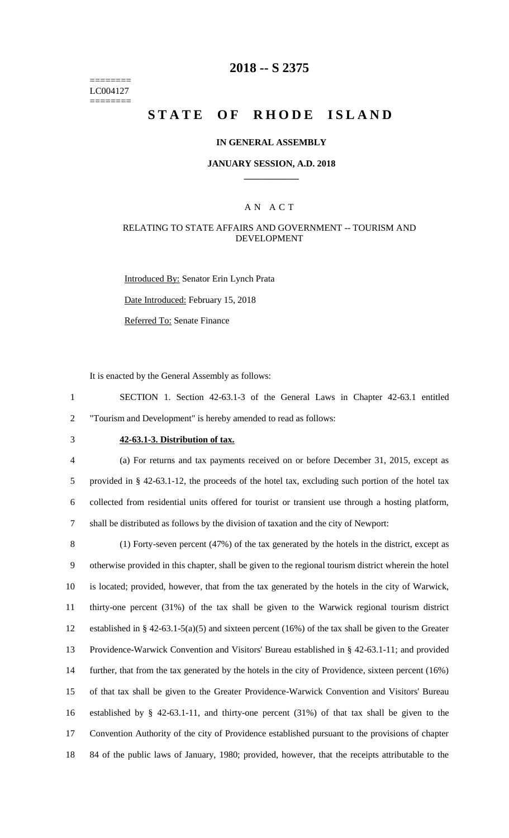======== LC004127 ========

## **2018 -- S 2375**

# **STATE OF RHODE ISLAND**

### **IN GENERAL ASSEMBLY**

#### **JANUARY SESSION, A.D. 2018 \_\_\_\_\_\_\_\_\_\_\_\_**

### A N A C T

### RELATING TO STATE AFFAIRS AND GOVERNMENT -- TOURISM AND DEVELOPMENT

Introduced By: Senator Erin Lynch Prata Date Introduced: February 15, 2018 Referred To: Senate Finance

It is enacted by the General Assembly as follows:

1 SECTION 1. Section 42-63.1-3 of the General Laws in Chapter 42-63.1 entitled 2 "Tourism and Development" is hereby amended to read as follows:

## 3 **42-63.1-3. Distribution of tax.**

 (a) For returns and tax payments received on or before December 31, 2015, except as provided in § 42-63.1-12, the proceeds of the hotel tax, excluding such portion of the hotel tax collected from residential units offered for tourist or transient use through a hosting platform, shall be distributed as follows by the division of taxation and the city of Newport:

 (1) Forty-seven percent (47%) of the tax generated by the hotels in the district, except as otherwise provided in this chapter, shall be given to the regional tourism district wherein the hotel is located; provided, however, that from the tax generated by the hotels in the city of Warwick, thirty-one percent (31%) of the tax shall be given to the Warwick regional tourism district established in § 42-63.1-5(a)(5) and sixteen percent (16%) of the tax shall be given to the Greater Providence-Warwick Convention and Visitors' Bureau established in § 42-63.1-11; and provided further, that from the tax generated by the hotels in the city of Providence, sixteen percent (16%) of that tax shall be given to the Greater Providence-Warwick Convention and Visitors' Bureau established by § 42-63.1-11, and thirty-one percent (31%) of that tax shall be given to the Convention Authority of the city of Providence established pursuant to the provisions of chapter 84 of the public laws of January, 1980; provided, however, that the receipts attributable to the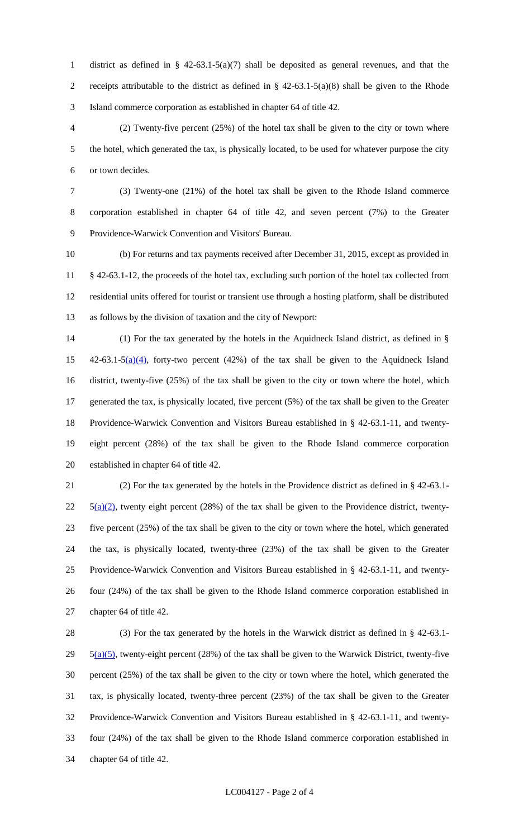district as defined in § 42-63.1-5(a)(7) shall be deposited as general revenues, and that the 2 receipts attributable to the district as defined in  $\S$  42-63.1-5(a)(8) shall be given to the Rhode Island commerce corporation as established in chapter 64 of title 42.

 (2) Twenty-five percent (25%) of the hotel tax shall be given to the city or town where the hotel, which generated the tax, is physically located, to be used for whatever purpose the city or town decides.

 (3) Twenty-one (21%) of the hotel tax shall be given to the Rhode Island commerce corporation established in chapter 64 of title 42, and seven percent (7%) to the Greater Providence-Warwick Convention and Visitors' Bureau.

 (b) For returns and tax payments received after December 31, 2015, except as provided in § 42-63.1-12, the proceeds of the hotel tax, excluding such portion of the hotel tax collected from residential units offered for tourist or transient use through a hosting platform, shall be distributed as follows by the division of taxation and the city of Newport:

 (1) For the tax generated by the hotels in the Aquidneck Island district, as defined in § 15 42-63.1-5(a)(4), forty-two percent (42%) of the tax shall be given to the Aquidneck Island district, twenty-five (25%) of the tax shall be given to the city or town where the hotel, which generated the tax, is physically located, five percent (5%) of the tax shall be given to the Greater Providence-Warwick Convention and Visitors Bureau established in § 42-63.1-11, and twenty- eight percent (28%) of the tax shall be given to the Rhode Island commerce corporation established in chapter 64 of title 42.

 (2) For the tax generated by the hotels in the Providence district as defined in § 42-63.1-  $22 \quad 5(a)(2)$ , twenty eight percent (28%) of the tax shall be given to the Providence district, twenty- five percent (25%) of the tax shall be given to the city or town where the hotel, which generated the tax, is physically located, twenty-three (23%) of the tax shall be given to the Greater Providence-Warwick Convention and Visitors Bureau established in § 42-63.1-11, and twenty- four (24%) of the tax shall be given to the Rhode Island commerce corporation established in chapter 64 of title 42.

 (3) For the tax generated by the hotels in the Warwick district as defined in § 42-63.1-  $5(a)(5)$ , twenty-eight percent (28%) of the tax shall be given to the Warwick District, twenty-five percent (25%) of the tax shall be given to the city or town where the hotel, which generated the tax, is physically located, twenty-three percent (23%) of the tax shall be given to the Greater Providence-Warwick Convention and Visitors Bureau established in § 42-63.1-11, and twenty- four (24%) of the tax shall be given to the Rhode Island commerce corporation established in chapter 64 of title 42.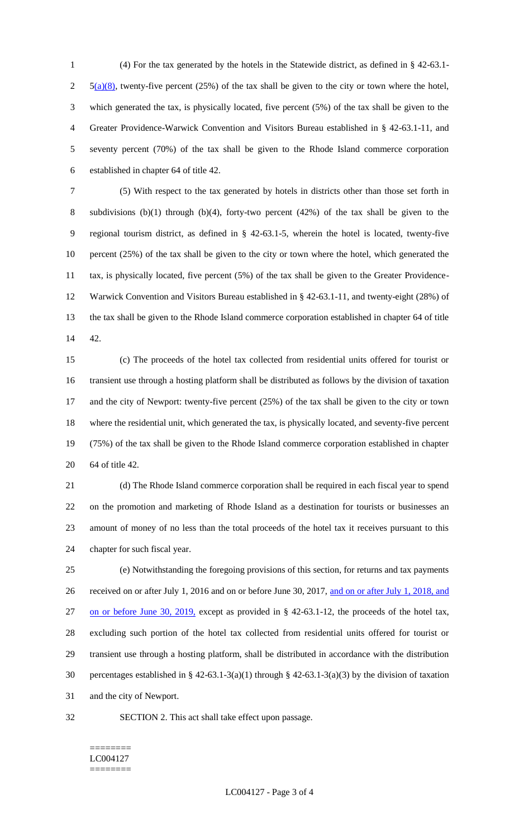(4) For the tax generated by the hotels in the Statewide district, as defined in § 42-63.1-  $2 \frac{5(a)(8)}{8}$ , twenty-five percent (25%) of the tax shall be given to the city or town where the hotel, which generated the tax, is physically located, five percent (5%) of the tax shall be given to the Greater Providence-Warwick Convention and Visitors Bureau established in § 42-63.1-11, and seventy percent (70%) of the tax shall be given to the Rhode Island commerce corporation established in chapter 64 of title 42.

 (5) With respect to the tax generated by hotels in districts other than those set forth in subdivisions (b)(1) through (b)(4), forty-two percent (42%) of the tax shall be given to the regional tourism district, as defined in § 42-63.1-5, wherein the hotel is located, twenty-five percent (25%) of the tax shall be given to the city or town where the hotel, which generated the tax, is physically located, five percent (5%) of the tax shall be given to the Greater Providence- Warwick Convention and Visitors Bureau established in § 42-63.1-11, and twenty-eight (28%) of the tax shall be given to the Rhode Island commerce corporation established in chapter 64 of title 42.

 (c) The proceeds of the hotel tax collected from residential units offered for tourist or transient use through a hosting platform shall be distributed as follows by the division of taxation and the city of Newport: twenty-five percent (25%) of the tax shall be given to the city or town where the residential unit, which generated the tax, is physically located, and seventy-five percent (75%) of the tax shall be given to the Rhode Island commerce corporation established in chapter 64 of title 42.

 (d) The Rhode Island commerce corporation shall be required in each fiscal year to spend on the promotion and marketing of Rhode Island as a destination for tourists or businesses an amount of money of no less than the total proceeds of the hotel tax it receives pursuant to this chapter for such fiscal year.

 (e) Notwithstanding the foregoing provisions of this section, for returns and tax payments 26 received on or after July 1, 2016 and on or before June 30, 2017, and on or after July 1, 2018, and on or before June 30, 2019, except as provided in § 42-63.1-12, the proceeds of the hotel tax, excluding such portion of the hotel tax collected from residential units offered for tourist or transient use through a hosting platform, shall be distributed in accordance with the distribution percentages established in § 42-63.1-3(a)(1) through § 42-63.1-3(a)(3) by the division of taxation and the city of Newport.

SECTION 2. This act shall take effect upon passage.

#### ======== LC004127 ========